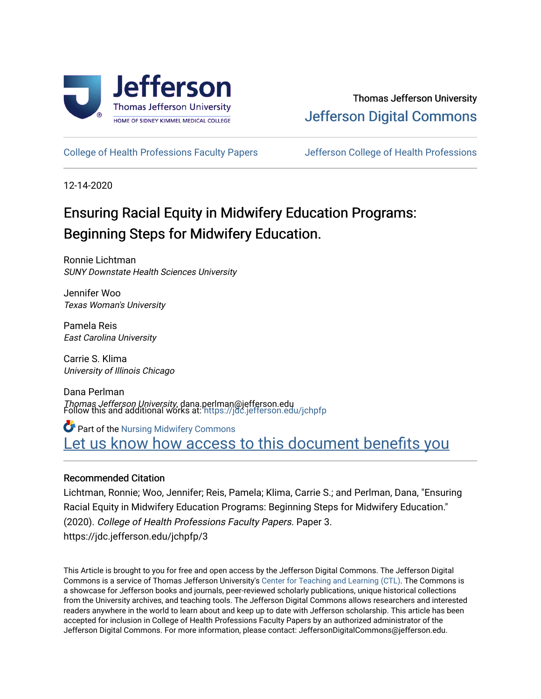

# Thomas Jefferson University [Jefferson Digital Commons](https://jdc.jefferson.edu/)

[College of Health Professions Faculty Papers](https://jdc.jefferson.edu/jchpfp) [Jefferson College of Health Professions](https://jdc.jefferson.edu/jchp) 

12-14-2020

# Ensuring Racial Equity in Midwifery Education Programs: Beginning Steps for Midwifery Education.

Ronnie Lichtman SUNY Downstate Health Sciences University

Jennifer Woo Texas Woman's University

Pamela Reis East Carolina University

Carrie S. Klima University of Illinois Chicago

Dana Perlman Thomas Jefferson University, dana.perlman@jefferson.edu Follow this and additional works at: [https://jdc.jefferson.edu/jchpfp](https://jdc.jefferson.edu/jchpfp?utm_source=jdc.jefferson.edu%2Fjchpfp%2F3&utm_medium=PDF&utm_campaign=PDFCoverPages) 

**Part of the Nursing Midwifery Commons** Let us know how access to this document benefits you

## Recommended Citation

Lichtman, Ronnie; Woo, Jennifer; Reis, Pamela; Klima, Carrie S.; and Perlman, Dana, "Ensuring Racial Equity in Midwifery Education Programs: Beginning Steps for Midwifery Education." (2020). College of Health Professions Faculty Papers. Paper 3. https://jdc.jefferson.edu/jchpfp/3

This Article is brought to you for free and open access by the Jefferson Digital Commons. The Jefferson Digital Commons is a service of Thomas Jefferson University's [Center for Teaching and Learning \(CTL\)](http://www.jefferson.edu/university/teaching-learning.html/). The Commons is a showcase for Jefferson books and journals, peer-reviewed scholarly publications, unique historical collections from the University archives, and teaching tools. The Jefferson Digital Commons allows researchers and interested readers anywhere in the world to learn about and keep up to date with Jefferson scholarship. This article has been accepted for inclusion in College of Health Professions Faculty Papers by an authorized administrator of the Jefferson Digital Commons. For more information, please contact: JeffersonDigitalCommons@jefferson.edu.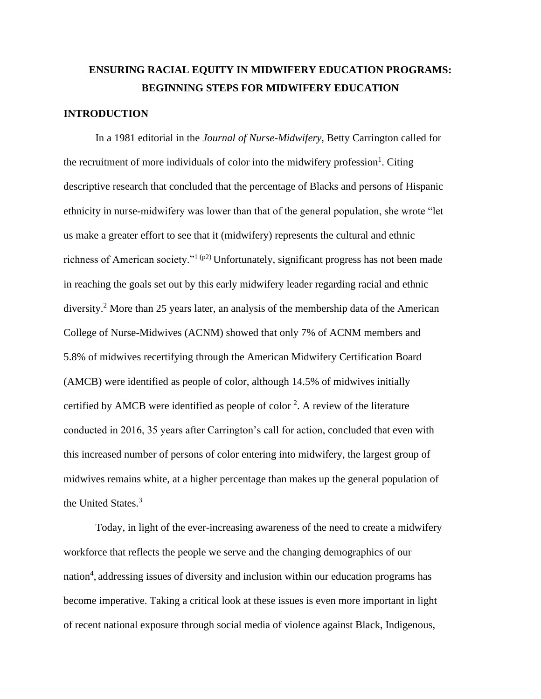# **ENSURING RACIAL EQUITY IN MIDWIFERY EDUCATION PROGRAMS: BEGINNING STEPS FOR MIDWIFERY EDUCATION**

### **INTRODUCTION**

In a 1981 editorial in the *Journal of Nurse-Midwifery*, Betty Carrington called for the recruitment of more individuals of color into the midwifery profession<sup>1</sup>. Citing descriptive research that concluded that the percentage of Blacks and persons of Hispanic ethnicity in nurse-midwifery was lower than that of the general population, she wrote "let us make a greater effort to see that it (midwifery) represents the cultural and ethnic richness of American society."<sup>1 (p2)</sup> Unfortunately, significant progress has not been made in reaching the goals set out by this early midwifery leader regarding racial and ethnic diversity.<sup>2</sup> More than 25 years later, an analysis of the membership data of the American College of Nurse-Midwives (ACNM) showed that only 7% of ACNM members and 5.8% of midwives recertifying through the American Midwifery Certification Board (AMCB) were identified as people of color, although 14.5% of midwives initially certified by AMCB were identified as people of color  $2$ . A review of the literature conducted in 2016, 35 years after Carrington's call for action, concluded that even with this increased number of persons of color entering into midwifery, the largest group of midwives remains white, at a higher percentage than makes up the general population of the United States.<sup>3</sup>

Today, in light of the ever-increasing awareness of the need to create a midwifery workforce that reflects the people we serve and the changing demographics of our nation<sup>4</sup>, addressing issues of diversity and inclusion within our education programs has become imperative. Taking a critical look at these issues is even more important in light of recent national exposure through social media of violence against Black, Indigenous,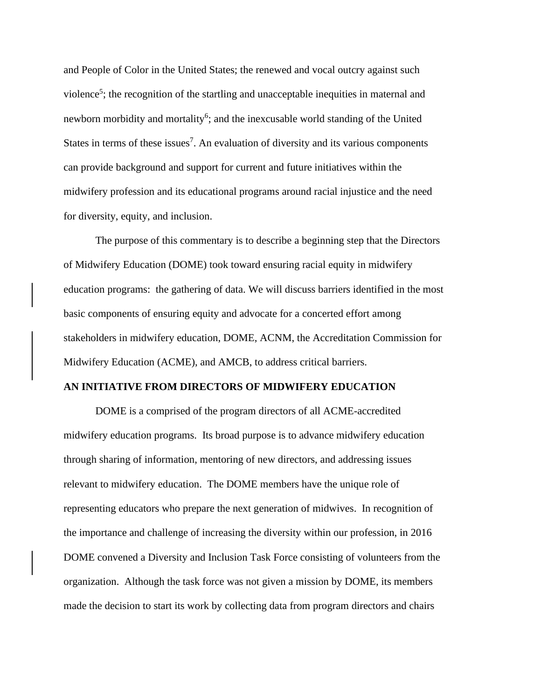and People of Color in the United States; the renewed and vocal outcry against such violence<sup>5</sup>; the recognition of the startling and unacceptable inequities in maternal and newborn morbidity and mortality<sup>6</sup>; and the inexcusable world standing of the United States in terms of these issues<sup>7</sup>. An evaluation of diversity and its various components can provide background and support for current and future initiatives within the midwifery profession and its educational programs around racial injustice and the need for diversity, equity, and inclusion.

The purpose of this commentary is to describe a beginning step that the Directors of Midwifery Education (DOME) took toward ensuring racial equity in midwifery education programs: the gathering of data. We will discuss barriers identified in the most basic components of ensuring equity and advocate for a concerted effort among stakeholders in midwifery education, DOME, ACNM, the Accreditation Commission for Midwifery Education (ACME), and AMCB, to address critical barriers.

#### **AN INITIATIVE FROM DIRECTORS OF MIDWIFERY EDUCATION**

DOME is a comprised of the program directors of all ACME-accredited midwifery education programs. Its broad purpose is to advance midwifery education through sharing of information, mentoring of new directors, and addressing issues relevant to midwifery education. The DOME members have the unique role of representing educators who prepare the next generation of midwives. In recognition of the importance and challenge of increasing the diversity within our profession, in 2016 DOME convened a Diversity and Inclusion Task Force consisting of volunteers from the organization. Although the task force was not given a mission by DOME, its members made the decision to start its work by collecting data from program directors and chairs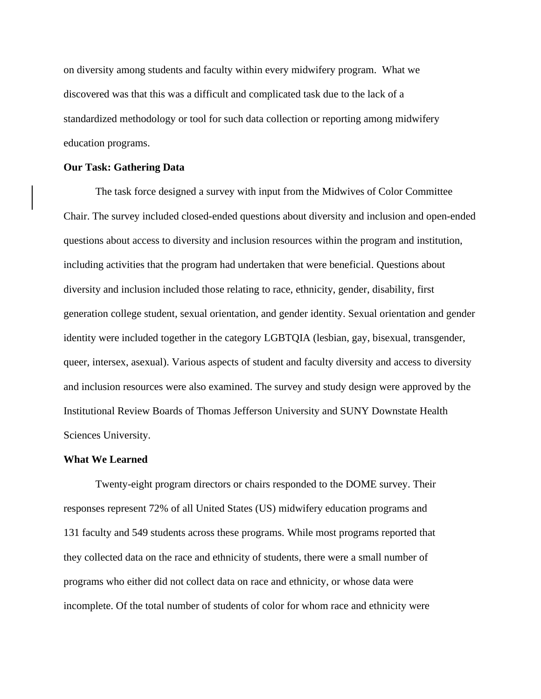on diversity among students and faculty within every midwifery program. What we discovered was that this was a difficult and complicated task due to the lack of a standardized methodology or tool for such data collection or reporting among midwifery education programs.

#### **Our Task: Gathering Data**

The task force designed a survey with input from the Midwives of Color Committee Chair. The survey included closed-ended questions about diversity and inclusion and open-ended questions about access to diversity and inclusion resources within the program and institution, including activities that the program had undertaken that were beneficial. Questions about diversity and inclusion included those relating to race, ethnicity, gender, disability, first generation college student, sexual orientation, and gender identity. Sexual orientation and gender identity were included together in the category LGBTQIA (lesbian, gay, bisexual, transgender, queer, intersex, asexual). Various aspects of student and faculty diversity and access to diversity and inclusion resources were also examined. The survey and study design were approved by the Institutional Review Boards of Thomas Jefferson University and SUNY Downstate Health Sciences University.

#### **What We Learned**

Twenty-eight program directors or chairs responded to the DOME survey. Their responses represent 72% of all United States (US) midwifery education programs and 131 faculty and 549 students across these programs. While most programs reported that they collected data on the race and ethnicity of students, there were a small number of programs who either did not collect data on race and ethnicity, or whose data were incomplete. Of the total number of students of color for whom race and ethnicity were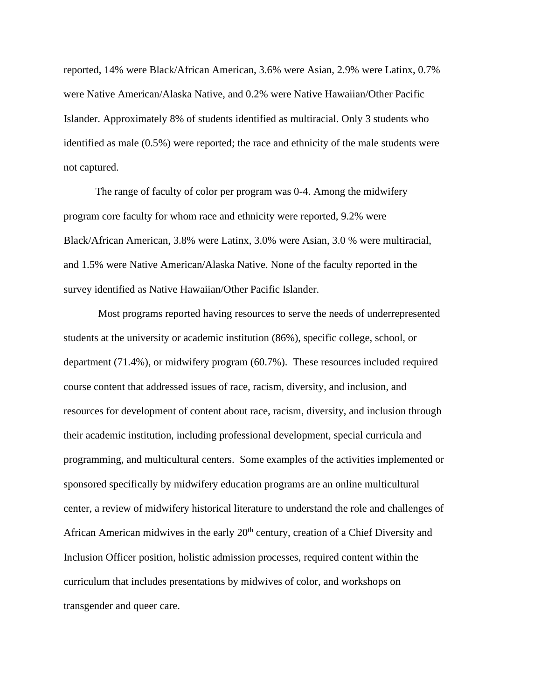reported, 14% were Black/African American, 3.6% were Asian, 2.9% were Latinx, 0.7% were Native American/Alaska Native, and 0.2% were Native Hawaiian/Other Pacific Islander. Approximately 8% of students identified as multiracial. Only 3 students who identified as male (0.5%) were reported; the race and ethnicity of the male students were not captured.

The range of faculty of color per program was 0-4. Among the midwifery program core faculty for whom race and ethnicity were reported, 9.2% were Black/African American, 3.8% were Latinx, 3.0% were Asian, 3.0 % were multiracial, and 1.5% were Native American/Alaska Native. None of the faculty reported in the survey identified as Native Hawaiian/Other Pacific Islander.

Most programs reported having resources to serve the needs of underrepresented students at the university or academic institution (86%), specific college, school, or department (71.4%), or midwifery program (60.7%). These resources included required course content that addressed issues of race, racism, diversity, and inclusion, and resources for development of content about race, racism, diversity, and inclusion through their academic institution, including professional development, special curricula and programming, and multicultural centers. Some examples of the activities implemented or sponsored specifically by midwifery education programs are an online multicultural center, a review of midwifery historical literature to understand the role and challenges of African American midwives in the early 20<sup>th</sup> century, creation of a Chief Diversity and Inclusion Officer position, holistic admission processes, required content within the curriculum that includes presentations by midwives of color, and workshops on transgender and queer care.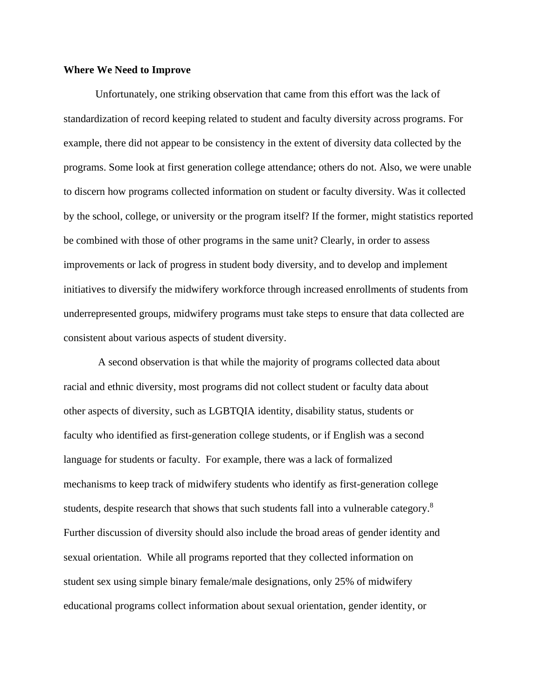#### **Where We Need to Improve**

Unfortunately, one striking observation that came from this effort was the lack of standardization of record keeping related to student and faculty diversity across programs. For example, there did not appear to be consistency in the extent of diversity data collected by the programs. Some look at first generation college attendance; others do not. Also, we were unable to discern how programs collected information on student or faculty diversity. Was it collected by the school, college, or university or the program itself? If the former, might statistics reported be combined with those of other programs in the same unit? Clearly, in order to assess improvements or lack of progress in student body diversity, and to develop and implement initiatives to diversify the midwifery workforce through increased enrollments of students from underrepresented groups, midwifery programs must take steps to ensure that data collected are consistent about various aspects of student diversity.

A second observation is that while the majority of programs collected data about racial and ethnic diversity, most programs did not collect student or faculty data about other aspects of diversity, such as LGBTQIA identity, disability status, students or faculty who identified as first-generation college students, or if English was a second language for students or faculty. For example, there was a lack of formalized mechanisms to keep track of midwifery students who identify as first-generation college students, despite research that shows that such students fall into a vulnerable category.<sup>8</sup> Further discussion of diversity should also include the broad areas of gender identity and sexual orientation. While all programs reported that they collected information on student sex using simple binary female/male designations, only 25% of midwifery educational programs collect information about sexual orientation, gender identity, or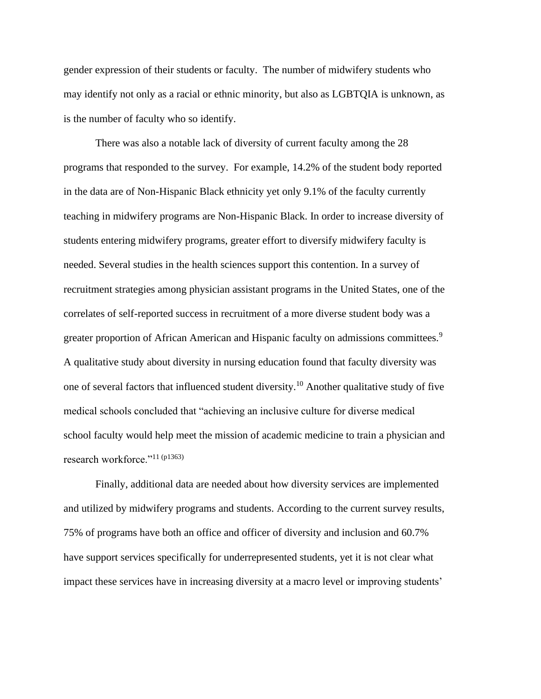gender expression of their students or faculty. The number of midwifery students who may identify not only as a racial or ethnic minority, but also as LGBTQIA is unknown, as is the number of faculty who so identify.

There was also a notable lack of diversity of current faculty among the 28 programs that responded to the survey. For example, 14.2% of the student body reported in the data are of Non-Hispanic Black ethnicity yet only 9.1% of the faculty currently teaching in midwifery programs are Non-Hispanic Black. In order to increase diversity of students entering midwifery programs, greater effort to diversify midwifery faculty is needed. Several studies in the health sciences support this contention. In a survey of recruitment strategies among physician assistant programs in the United States, one of the correlates of self-reported success in recruitment of a more diverse student body was a greater proportion of African American and Hispanic faculty on admissions committees.<sup>9</sup> A qualitative study about diversity in nursing education found that faculty diversity was one of several factors that influenced student diversity.<sup>10</sup> Another qualitative study of five medical schools concluded that "achieving an inclusive culture for diverse medical school faculty would help meet the mission of academic medicine to train a physician and research workforce."<sup>11 (p1363)</sup>

Finally, additional data are needed about how diversity services are implemented and utilized by midwifery programs and students. According to the current survey results, 75% of programs have both an office and officer of diversity and inclusion and 60.7% have support services specifically for underrepresented students, yet it is not clear what impact these services have in increasing diversity at a macro level or improving students'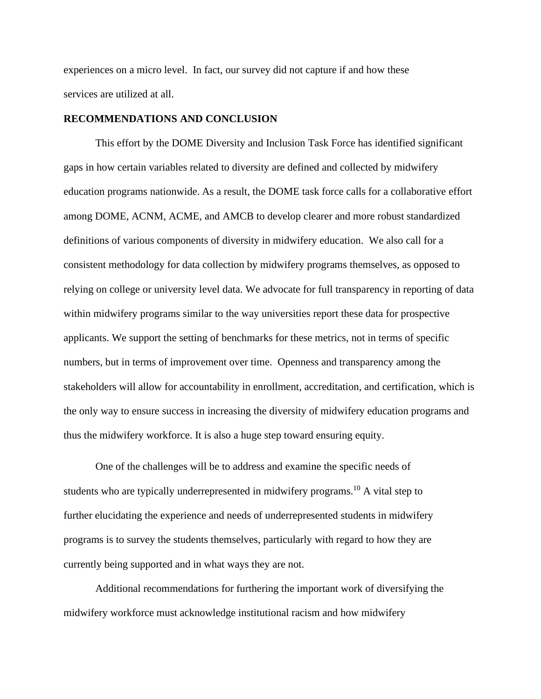experiences on a micro level. In fact, our survey did not capture if and how these services are utilized at all.

#### **RECOMMENDATIONS AND CONCLUSION**

This effort by the DOME Diversity and Inclusion Task Force has identified significant gaps in how certain variables related to diversity are defined and collected by midwifery education programs nationwide. As a result, the DOME task force calls for a collaborative effort among DOME, ACNM, ACME, and AMCB to develop clearer and more robust standardized definitions of various components of diversity in midwifery education. We also call for a consistent methodology for data collection by midwifery programs themselves, as opposed to relying on college or university level data. We advocate for full transparency in reporting of data within midwifery programs similar to the way universities report these data for prospective applicants. We support the setting of benchmarks for these metrics, not in terms of specific numbers, but in terms of improvement over time. Openness and transparency among the stakeholders will allow for accountability in enrollment, accreditation, and certification, which is the only way to ensure success in increasing the diversity of midwifery education programs and thus the midwifery workforce. It is also a huge step toward ensuring equity.

One of the challenges will be to address and examine the specific needs of students who are typically underrepresented in midwifery programs.<sup>10</sup> A vital step to further elucidating the experience and needs of underrepresented students in midwifery programs is to survey the students themselves, particularly with regard to how they are currently being supported and in what ways they are not.

Additional recommendations for furthering the important work of diversifying the midwifery workforce must acknowledge institutional racism and how midwifery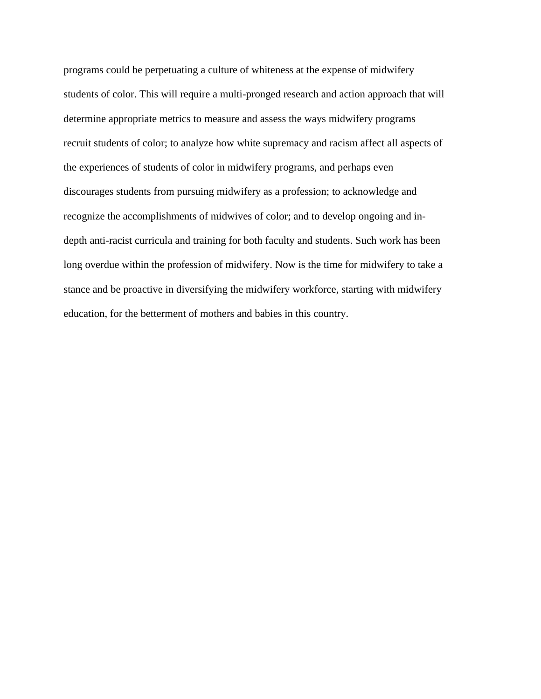programs could be perpetuating a culture of whiteness at the expense of midwifery students of color. This will require a multi-pronged research and action approach that will determine appropriate metrics to measure and assess the ways midwifery programs recruit students of color; to analyze how white supremacy and racism affect all aspects of the experiences of students of color in midwifery programs, and perhaps even discourages students from pursuing midwifery as a profession; to acknowledge and recognize the accomplishments of midwives of color; and to develop ongoing and indepth anti-racist curricula and training for both faculty and students. Such work has been long overdue within the profession of midwifery. Now is the time for midwifery to take a stance and be proactive in diversifying the midwifery workforce, starting with midwifery education, for the betterment of mothers and babies in this country.